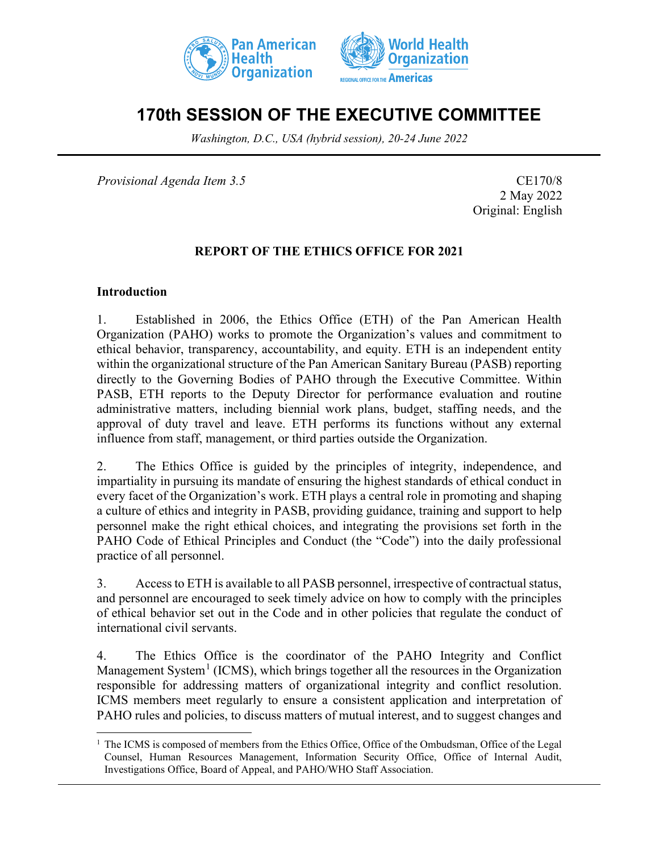



# **170th SESSION OF THE EXECUTIVE COMMITTEE**

*Washington, D.C., USA (hybrid session), 20-24 June 2022*

*Provisional Agenda Item 3.5* CE170/8

2 May 2022 Original: English

### **REPORT OF THE ETHICS OFFICE FOR 2021**

#### **Introduction**

1. Established in 2006, the Ethics Office (ETH) of the Pan American Health Organization (PAHO) works to promote the Organization's values and commitment to ethical behavior, transparency, accountability, and equity. ETH is an independent entity within the organizational structure of the Pan American Sanitary Bureau (PASB) reporting directly to the Governing Bodies of PAHO through the Executive Committee. Within PASB, ETH reports to the Deputy Director for performance evaluation and routine administrative matters, including biennial work plans, budget, staffing needs, and the approval of duty travel and leave. ETH performs its functions without any external influence from staff, management, or third parties outside the Organization.

2. The Ethics Office is guided by the principles of integrity, independence, and impartiality in pursuing its mandate of ensuring the highest standards of ethical conduct in every facet of the Organization's work. ETH plays a central role in promoting and shaping a culture of ethics and integrity in PASB, providing guidance, training and support to help personnel make the right ethical choices, and integrating the provisions set forth in the PAHO Code of Ethical Principles and Conduct (the "Code") into the daily professional practice of all personnel.

3. Access to ETH is available to all PASB personnel, irrespective of contractual status, and personnel are encouraged to seek timely advice on how to comply with the principles of ethical behavior set out in the Code and in other policies that regulate the conduct of international civil servants.

4. The Ethics Office is the coordinator of the PAHO Integrity and Conflict Management System<sup>[1](#page-0-0)</sup> (ICMS), which brings together all the resources in the Organization responsible for addressing matters of organizational integrity and conflict resolution. ICMS members meet regularly to ensure a consistent application and interpretation of PAHO rules and policies, to discuss matters of mutual interest, and to suggest changes and

<span id="page-0-0"></span> $<sup>1</sup>$  The ICMS is composed of members from the Ethics Office, Office of the Ombudsman, Office of the Legal</sup> Counsel, Human Resources Management, Information Security Office, Office of Internal Audit, Investigations Office, Board of Appeal, and PAHO/WHO Staff Association.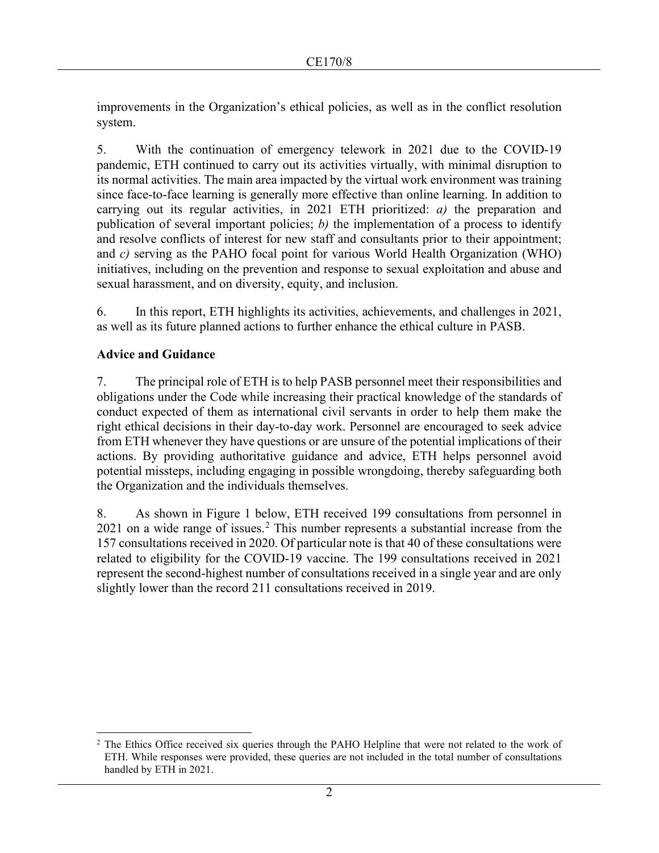improvements in the Organization's ethical policies, as well as in the conflict resolution system.

5. With the continuation of emergency telework in 2021 due to the COVID-19 pandemic, ETH continued to carry out its activities virtually, with minimal disruption to its normal activities. The main area impacted by the virtual work environment was training since face-to-face learning is generally more effective than online learning. In addition to carrying out its regular activities, in 2021 ETH prioritized: *a)* the preparation and publication of several important policies; *b)* the implementation of a process to identify and resolve conflicts of interest for new staff and consultants prior to their appointment; and *c)* serving as the PAHO focal point for various World Health Organization (WHO) initiatives, including on the prevention and response to sexual exploitation and abuse and sexual harassment, and on diversity, equity, and inclusion.

6. In this report, ETH highlights its activities, achievements, and challenges in 2021, as well as its future planned actions to further enhance the ethical culture in PASB.

## **Advice and Guidance**

7. The principal role of ETH is to help PASB personnel meet their responsibilities and obligations under the Code while increasing their practical knowledge of the standards of conduct expected of them as international civil servants in order to help them make the right ethical decisions in their day-to-day work. Personnel are encouraged to seek advice from ETH whenever they have questions or are unsure of the potential implications of their actions. By providing authoritative guidance and advice, ETH helps personnel avoid potential missteps, including engaging in possible wrongdoing, thereby safeguarding both the Organization and the individuals themselves.

8. As shown in Figure 1 below, ETH received 199 consultations from personnel in  $2021$  $2021$  on a wide range of issues.<sup>2</sup> This number represents a substantial increase from the 157 consultations received in 2020. Of particular note is that 40 of these consultations were related to eligibility for the COVID-19 vaccine. The 199 consultations received in 2021 represent the second-highest number of consultations received in a single year and are only slightly lower than the record 211 consultations received in 2019.

<span id="page-1-0"></span><sup>&</sup>lt;sup>2</sup> The Ethics Office received six queries through the PAHO Helpline that were not related to the work of ETH. While responses were provided, these queries are not included in the total number of consultations handled by ETH in 2021.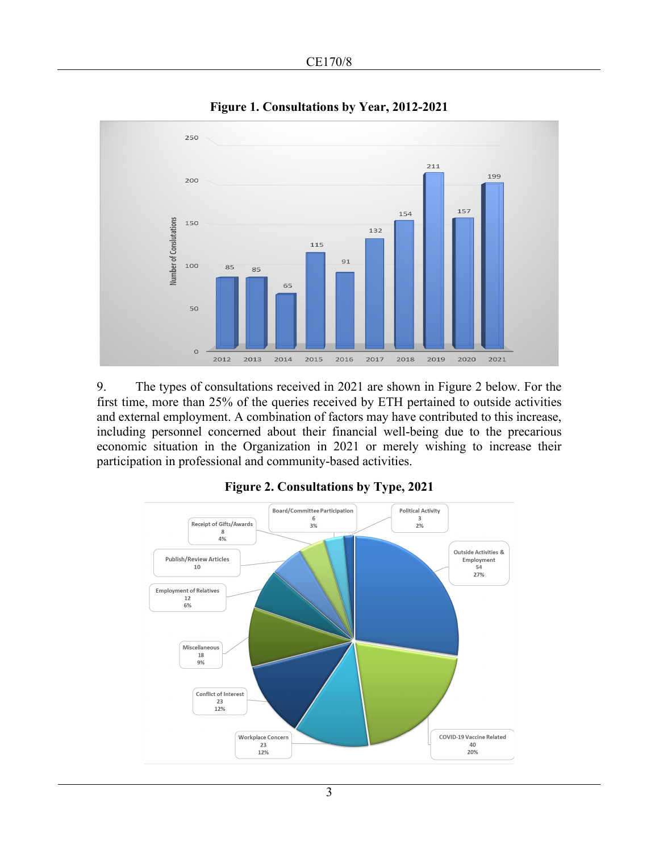

**Figure 1. Consultations by Year, 2012-2021**

9. The types of consultations received in 2021 are shown in Figure 2 below. For the first time, more than 25% of the queries received by ETH pertained to outside activities and external employment. A combination of factors may have contributed to this increase, including personnel concerned about their financial well-being due to the precarious economic situation in the Organization in 2021 or merely wishing to increase their participation in professional and community-based activities.



#### **Figure 2. Consultations by Type, 2021**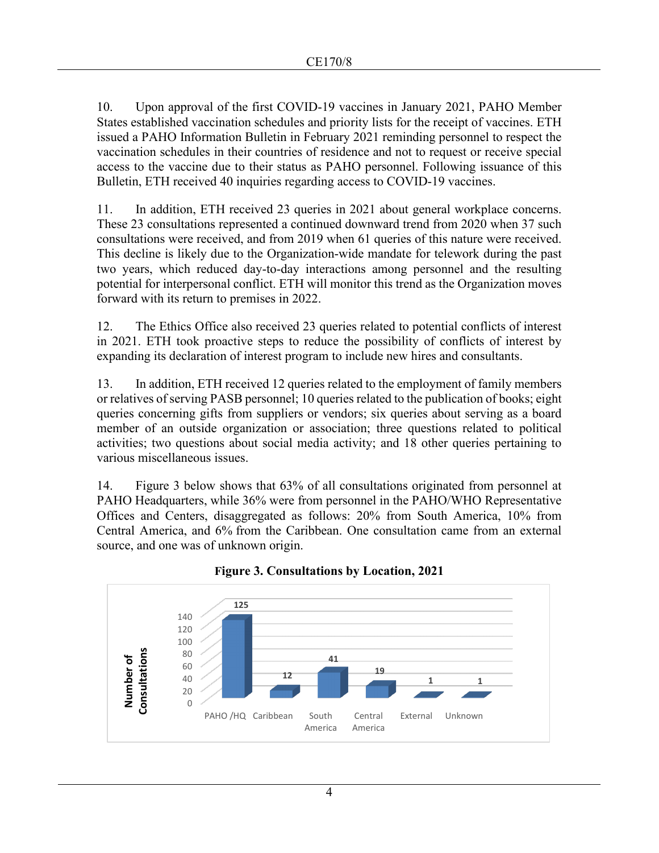10. Upon approval of the first COVID-19 vaccines in January 2021, PAHO Member States established vaccination schedules and priority lists for the receipt of vaccines. ETH issued a PAHO Information Bulletin in February 2021 reminding personnel to respect the vaccination schedules in their countries of residence and not to request or receive special access to the vaccine due to their status as PAHO personnel. Following issuance of this Bulletin, ETH received 40 inquiries regarding access to COVID-19 vaccines.

11. In addition, ETH received 23 queries in 2021 about general workplace concerns. These 23 consultations represented a continued downward trend from 2020 when 37 such consultations were received, and from 2019 when 61 queries of this nature were received. This decline is likely due to the Organization-wide mandate for telework during the past two years, which reduced day-to-day interactions among personnel and the resulting potential for interpersonal conflict. ETH will monitor this trend as the Organization moves forward with its return to premises in 2022.

12. The Ethics Office also received 23 queries related to potential conflicts of interest in 2021. ETH took proactive steps to reduce the possibility of conflicts of interest by expanding its declaration of interest program to include new hires and consultants.

13. In addition, ETH received 12 queries related to the employment of family members or relatives of serving PASB personnel; 10 queries related to the publication of books; eight queries concerning gifts from suppliers or vendors; six queries about serving as a board member of an outside organization or association; three questions related to political activities; two questions about social media activity; and 18 other queries pertaining to various miscellaneous issues.

14. Figure 3 below shows that 63% of all consultations originated from personnel at PAHO Headquarters, while 36% were from personnel in the PAHO/WHO Representative Offices and Centers, disaggregated as follows: 20% from South America, 10% from Central America, and 6% from the Caribbean. One consultation came from an external source, and one was of unknown origin.



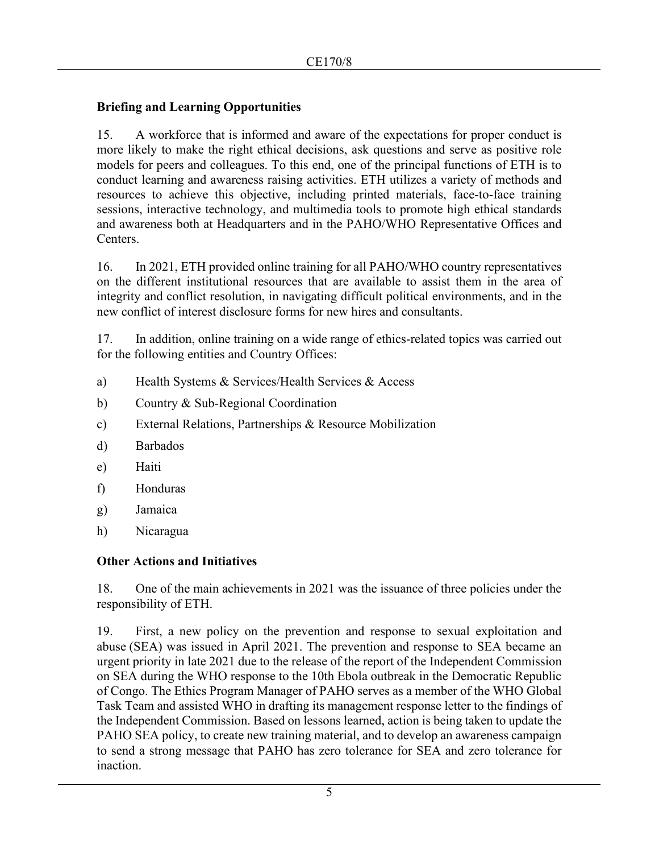## **Briefing and Learning Opportunities**

15. A workforce that is informed and aware of the expectations for proper conduct is more likely to make the right ethical decisions, ask questions and serve as positive role models for peers and colleagues. To this end, one of the principal functions of ETH is to conduct learning and awareness raising activities. ETH utilizes a variety of methods and resources to achieve this objective, including printed materials, face-to-face training sessions, interactive technology, and multimedia tools to promote high ethical standards and awareness both at Headquarters and in the PAHO/WHO Representative Offices and Centers.

16. In 2021, ETH provided online training for all PAHO/WHO country representatives on the different institutional resources that are available to assist them in the area of integrity and conflict resolution, in navigating difficult political environments, and in the new conflict of interest disclosure forms for new hires and consultants.

17. In addition, online training on a wide range of ethics-related topics was carried out for the following entities and Country Offices:

- a) Health Systems & Services/Health Services & Access
- b) Country & Sub-Regional Coordination
- c) External Relations, Partnerships & Resource Mobilization
- d) Barbados
- e) Haiti
- f) Honduras
- g) Jamaica
- h) Nicaragua

#### **Other Actions and Initiatives**

18. One of the main achievements in 2021 was the issuance of three policies under the responsibility of ETH.

19. First, a new policy on the prevention and response to sexual exploitation and abuse (SEA) was issued in April 2021. The prevention and response to SEA became an urgent priority in late 2021 due to the release of the report of the Independent Commission on SEA during the WHO response to the 10th Ebola outbreak in the Democratic Republic of Congo. The Ethics Program Manager of PAHO serves as a member of the WHO Global Task Team and assisted WHO in drafting its management response letter to the findings of the Independent Commission. Based on lessons learned, action is being taken to update the PAHO SEA policy, to create new training material, and to develop an awareness campaign to send a strong message that PAHO has zero tolerance for SEA and zero tolerance for inaction.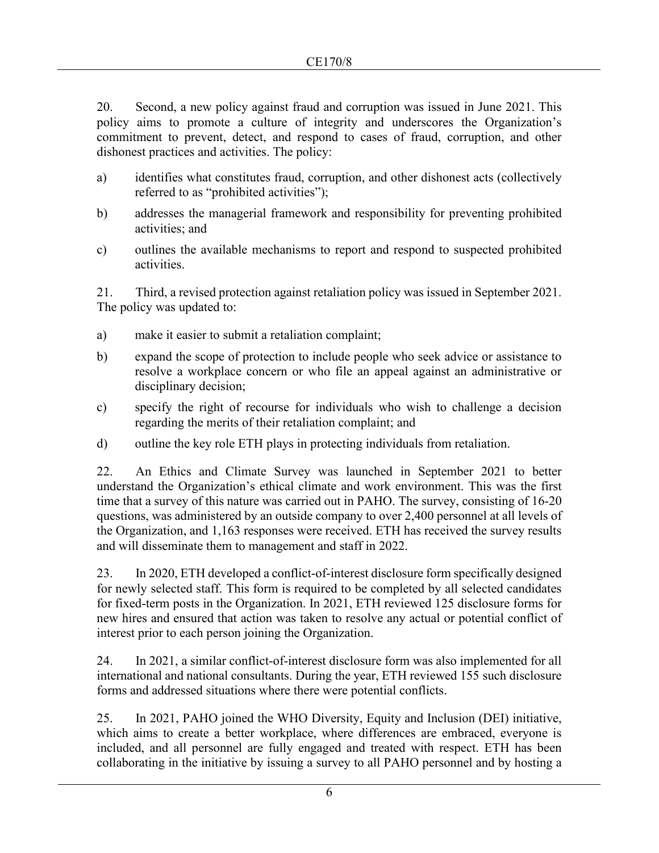20. Second, a new policy against fraud and corruption was issued in June 2021. This policy aims to promote a culture of integrity and underscores the Organization's commitment to prevent, detect, and respond to cases of fraud, corruption, and other dishonest practices and activities. The policy:

- a) identifies what constitutes fraud, corruption, and other dishonest acts (collectively referred to as "prohibited activities");
- b) addresses the managerial framework and responsibility for preventing prohibited activities; and
- c) outlines the available mechanisms to report and respond to suspected prohibited activities.

21. Third, a revised protection against retaliation policy was issued in September 2021. The policy was updated to:

- a) make it easier to submit a retaliation complaint;
- b) expand the scope of protection to include people who seek advice or assistance to resolve a workplace concern or who file an appeal against an administrative or disciplinary decision;
- c) specify the right of recourse for individuals who wish to challenge a decision regarding the merits of their retaliation complaint; and
- d) outline the key role ETH plays in protecting individuals from retaliation.

22. An Ethics and Climate Survey was launched in September 2021 to better understand the Organization's ethical climate and work environment. This was the first time that a survey of this nature was carried out in PAHO. The survey, consisting of 16-20 questions, was administered by an outside company to over 2,400 personnel at all levels of the Organization, and 1,163 responses were received. ETH has received the survey results and will disseminate them to management and staff in 2022.

23. In 2020, ETH developed a conflict-of-interest disclosure form specifically designed for newly selected staff. This form is required to be completed by all selected candidates for fixed-term posts in the Organization. In 2021, ETH reviewed 125 disclosure forms for new hires and ensured that action was taken to resolve any actual or potential conflict of interest prior to each person joining the Organization.

24. In 2021, a similar conflict-of-interest disclosure form was also implemented for all international and national consultants. During the year, ETH reviewed 155 such disclosure forms and addressed situations where there were potential conflicts.

25. In 2021, PAHO joined the WHO Diversity, Equity and Inclusion (DEI) initiative, which aims to create a better workplace, where differences are embraced, everyone is included, and all personnel are fully engaged and treated with respect. ETH has been collaborating in the initiative by issuing a survey to all PAHO personnel and by hosting a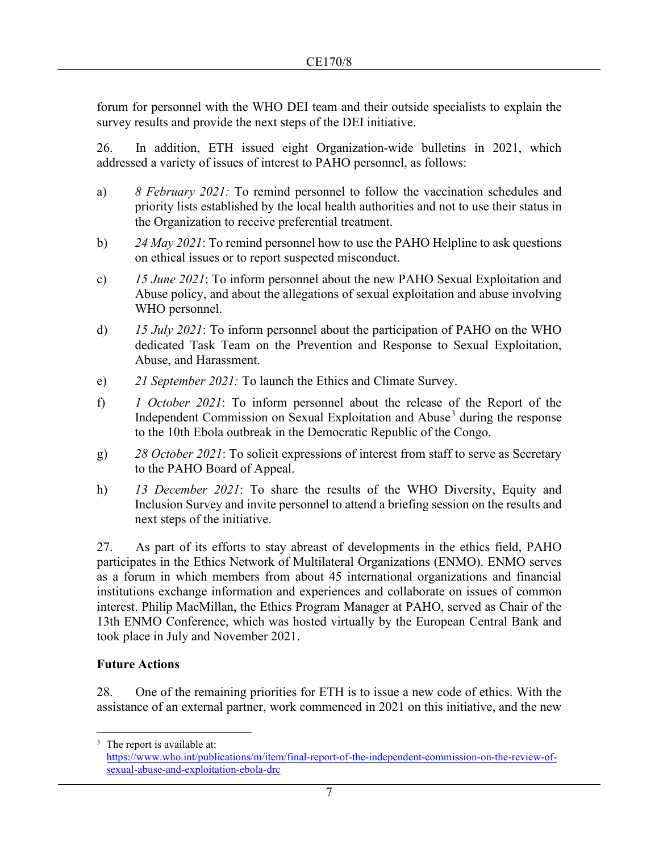forum for personnel with the WHO DEI team and their outside specialists to explain the survey results and provide the next steps of the DEI initiative.

26. In addition, ETH issued eight Organization-wide bulletins in 2021, which addressed a variety of issues of interest to PAHO personnel, as follows:

- a) *8 February 2021:* To remind personnel to follow the vaccination schedules and priority lists established by the local health authorities and not to use their status in the Organization to receive preferential treatment.
- b) *24 May 2021*: To remind personnel how to use the PAHO Helpline to ask questions on ethical issues or to report suspected misconduct.
- c) *15 June 2021*: To inform personnel about the new PAHO Sexual Exploitation and Abuse policy, and about the allegations of sexual exploitation and abuse involving WHO personnel.
- d) *15 July 2021*: To inform personnel about the participation of PAHO on the WHO dedicated Task Team on the Prevention and Response to Sexual Exploitation, Abuse, and Harassment.
- e) *21 September 2021:* To launch the Ethics and Climate Survey.
- f) *1 October 2021*: To inform personnel about the release of the Report of the Independent Commission on Sexual Exploitation and Abuse<sup>[3](#page-6-0)</sup> during the response to the 10th Ebola outbreak in the Democratic Republic of the Congo.
- g) *28 October 2021*: To solicit expressions of interest from staff to serve as Secretary to the PAHO Board of Appeal.
- h) *13 December 2021*: To share the results of the WHO Diversity, Equity and Inclusion Survey and invite personnel to attend a briefing session on the results and next steps of the initiative.

27. As part of its efforts to stay abreast of developments in the ethics field, PAHO participates in the Ethics Network of Multilateral Organizations (ENMO). ENMO serves as a forum in which members from about 45 international organizations and financial institutions exchange information and experiences and collaborate on issues of common interest. Philip MacMillan, the Ethics Program Manager at PAHO, served as Chair of the 13th ENMO Conference, which was hosted virtually by the European Central Bank and took place in July and November 2021.

## **Future Actions**

28. One of the remaining priorities for ETH is to issue a new code of ethics. With the assistance of an external partner, work commenced in 2021 on this initiative, and the new

<span id="page-6-0"></span><sup>&</sup>lt;sup>3</sup> The report is available at:

[https://www.who.int/publications/m/item/final-report-of-the-independent-commission-on-the-review-of](https://www.who.int/publications/m/item/final-report-of-the-independent-commission-on-the-review-of-sexual-abuse-and-exploitation-ebola-drc)[sexual-abuse-and-exploitation-ebola-drc](https://www.who.int/publications/m/item/final-report-of-the-independent-commission-on-the-review-of-sexual-abuse-and-exploitation-ebola-drc)